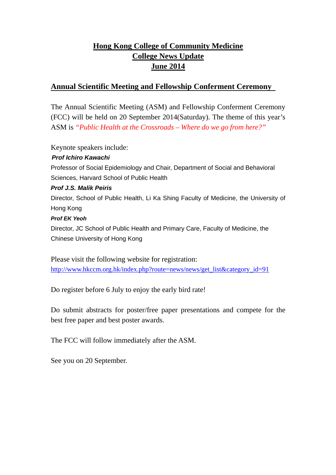# **Hong Kong College of Community Medicine College News Update June 2014**

### **Annual Scientific Meeting and Fellowship Conferment Ceremony**

The Annual Scientific Meeting (ASM) and Fellowship Conferment Ceremony (FCC) will be held on 20 September 2014(Saturday). The theme of this year's ASM is *"Public Health at the Crossroads – Where do we go from here?"*

Keynote speakers include:

#### *Prof Ichiro Kawachi*

Professor of Social Epidemiology and Chair, Department of Social and Behavioral Sciences, Harvard School of Public Health

#### *Prof J.S. Malik Peiris*

Director, School of Public Health, Li Ka Shing Faculty of Medicine, the University of Hong Kong

#### *Prof EK Yeoh*

Director, JC School of Public Health and Primary Care, Faculty of Medicine, the Chinese University of Hong Kong

Please visit the following website for registration: http://www.hkccm.org.hk/index.php?route=news/news/get\_list&category\_id=91

Do register before 6 July to enjoy the early bird rate!

Do submit abstracts for poster/free paper presentations and compete for the best free paper and best poster awards.

The FCC will follow immediately after the ASM.

See you on 20 September.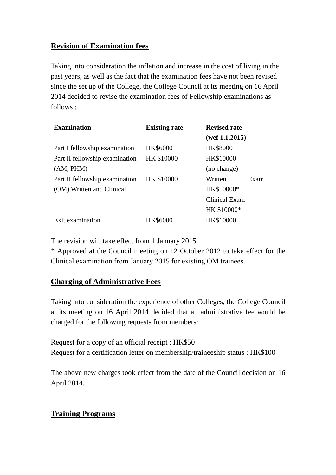# **Revision of Examination fees**

Taking into consideration the inflation and increase in the cost of living in the past years, as well as the fact that the examination fees have not been revised since the set up of the College, the College Council at its meeting on 16 April 2014 decided to revise the examination fees of Fellowship examinations as follows :

| <b>Examination</b>             | <b>Existing rate</b> | <b>Revised rate</b>  |
|--------------------------------|----------------------|----------------------|
|                                |                      | (wef 1.1.2015)       |
| Part I fellowship examination  | HK\$6000             | <b>HK\$8000</b>      |
| Part II fellowship examination | HK \$10000           | HK\$10000            |
| (AM, PHM)                      |                      | (no change)          |
| Part II fellowship examination | HK \$10000           | Written<br>Exam      |
| (OM) Written and Clinical      |                      | HK\$10000*           |
|                                |                      | <b>Clinical Exam</b> |
|                                |                      | HK \$10000*          |
| Exit examination               | HK\$6000             | HK\$10000            |

The revision will take effect from 1 January 2015.

\* Approved at the Council meeting on 12 October 2012 to take effect for the Clinical examination from January 2015 for existing OM trainees.

## **Charging of Administrative Fees**

Taking into consideration the experience of other Colleges, the College Council at its meeting on 16 April 2014 decided that an administrative fee would be charged for the following requests from members:

Request for a copy of an official receipt : HK\$50 Request for a certification letter on membership/traineeship status : HK\$100

The above new charges took effect from the date of the Council decision on 16 April 2014.

## **Training Programs**